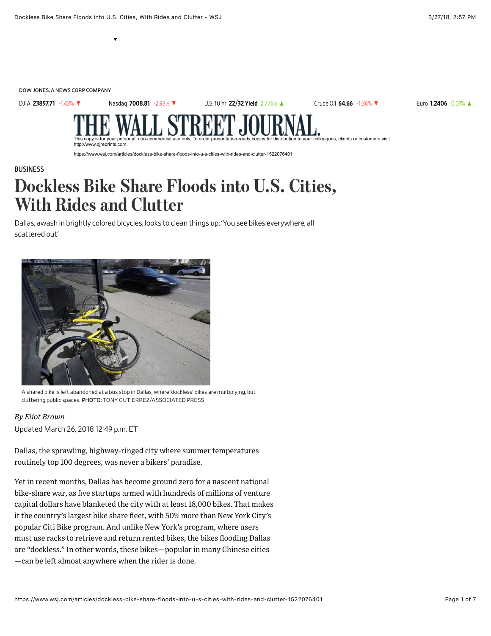DOW JONES, A NEWS CORP COMPANY



**[BUSINESS](https://www.wsj.com/news/business)** 

## Dockless Bike Share Floods into U.S. Cities, With Rides and Clutter

Dallas, awash in brightly colored bicycles, looks to clean things up; 'You see bikes everywhere, all scattered out'



A shared bike is left abandoned at a bus stop in Dallas, where 'dockless' bikes are multiplying, but cluttering public spaces. PHOTO: TONY GUTIERREZ/ASSOCIATED PRESS

## *By Eliot Brown*

Updated March 26, 2018 12:49 p.m. ET

Dallas, the sprawling, highway-ringed city where summer temperatures routinely top 100 degrees, was never a bikers' paradise.

[Yet in recent months, Dallas has become ground zero for a nascent national](https://www.wsj.com/articles/asian-bike-share-startups-have-global-ambitionsbut-can-they-swerve-potholes-1502280331) bike-share war, as five startups armed with hundreds of millions of venture capital dollars have blanketed the city with at least 18,000 bikes. That makes it the country's largest bike share fleet, with 50% more than New York City's popular Citi Bike program. And unlike New York's program, where users must use racks to retrieve and return rented bikes, the bikes flooding Dallas are "dockless." In other words, these bikes—popular in many Chinese cities —can be left almost anywhere when the rider is done.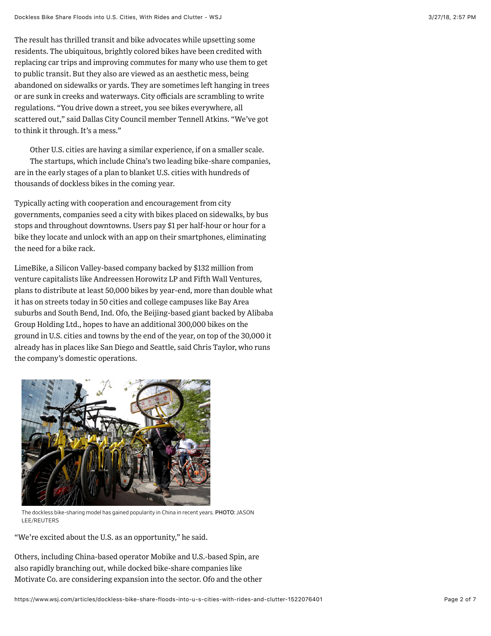The result has thrilled transit and bike advocates while upsetting some residents. The ubiquitous, brightly colored bikes have been credited with replacing car trips and improving commutes for many who use them to get [to public transit. But they also are viewed as an aesthetic mess, being](https://www.wsj.com/articles/braking-bad-thieves-and-pranksters-lay-waste-to-chinas-share-bikes-1491230284) abandoned on sidewalks or yards. They are sometimes left hanging in trees or are sunk in creeks and waterways. City officials are scrambling to write regulations. "You drive down a street, you see bikes everywhere, all scattered out," said Dallas City Council member Tennell Atkins. "We've got to think it through. It's a mess."

Other U.S. cities are having a similar experience, if on a smaller scale. The startups, which include [China's two leading bike-share companies](https://www.wsj.com/articles/chinese-startups-saddle-up-for-bike-sharing-battle-1477392508), are in the early stages of a plan to blanket U.S. cities with hundreds of thousands of dockless bikes in the coming year.

Typically acting with cooperation and encouragement from city governments, companies seed a city with bikes placed on sidewalks, by bus stops and throughout downtowns. Users pay \$1 per half-hour or hour for a bike they locate and unlock with an app on their smartphones, eliminating the need for a bike rack.

LimeBike, a Silicon Valley-based company backed by \$132 million from venture capitalists like Andreessen Horowitz LP and Fifth Wall Ventures, plans to distribute at least 50,000 bikes by year-end, more than double what it has on streets today in 50 cities and college campuses like Bay Area suburbs and South Bend, Ind. Ofo, [the Beijing-based giant](https://www.wsj.com/articles/chinas-bike-sharing-startups-are-coming-to-u-s-cities-1490287361) backed by Alibaba Group Holding Ltd., hopes to have an additional 300,000 bikes on the ground in U.S. cities and towns by the end of the year, on top of the 30,000 it already has in places like San Diego and Seattle, said Chris Taylor, who runs the company's domestic operations.



The dockless bike-sharing model has gained popularity in China in recent years. PHOTO: JASON LEE/REUTERS

"We're excited about the U.S. as an opportunity," he said.

Others, including China-based operator Mobike and U.S.-based Spin, are also rapidly branching out, while docked bike-share companies like Motivate Co. are considering expansion into the sector. Ofo and the other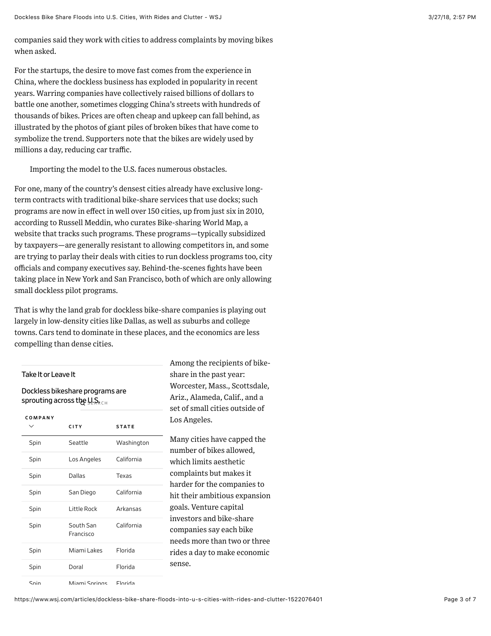companies said they work with cities to address complaints by moving bikes when asked.

For the startups, the desire to move fast comes from the experience in China, where the dockless business has exploded in popularity in recent years. Warring companies have collectively raised billions of dollars to battle one another, sometimes clogging China's streets with hundreds of thousands of bikes. Prices are often cheap and upkeep can fall behind, as illustrated by the photos of giant piles of broken bikes that have come to symbolize the trend. Supporters note that the bikes are widely used by millions a day, reducing car traffic.

Importing the model to the U.S. faces numerous obstacles.

For one, many of the country's densest cities already have exclusive longterm contracts with traditional bike-share services that use docks; such programs are now in effect in well over 150 cities, up from just six in 2010, according to Russell Meddin, who curates Bike-sharing World Map, a website that tracks such programs. These programs—typically subsidized by taxpayers—are generally resistant to allowing competitors in, and some are trying to parlay their deals with cities to run dockless programs too, city officials and company executives say. Behind-the-scenes fights have been taking place in New York and San Francisco, both of which are only allowing small dockless pilot programs.

That is why the land grab for dockless bike-share companies is playing out largely in low-density cities like Dallas, as well as suburbs and college towns. Cars tend to dominate in these places, and the economics are less compelling than dense cities.

## Take It or Leave It

Dockless bikeshare programs are sprouting across the  $\mu_{\mathbf{S}_{\text{RCH}}}$ 

| COMPANY |                        |              |
|---------|------------------------|--------------|
| ╰       | <b>CITY</b>            | <b>STATE</b> |
| Spin    | Seattle                | Washington   |
| Spin    | Los Angeles            | California   |
| Spin    | Dallas                 | Texas        |
| Spin    | San Diego              | California   |
| Spin    | Little Rock            | Arkansas     |
| Spin    | South San<br>Francisco | California   |
| Spin    | Miami Lakes            | Florida      |
| Spin    | Doral                  | Florida      |
|         |                        |              |

Among the recipients of bikeshare in the past year: Worcester, Mass., Scottsdale, Ariz., Alameda, Calif., and a set of small cities outside of Los Angeles.

Many cities have capped the number of bikes allowed, which limits aesthetic complaints but makes it harder for the companies to hit their ambitious expansion goals. Venture capital investors and bike-share companies say each bike needs more than two or three rides a day to make economic sense.

Spin Miami Springs Florida

https://www.wsj.com/articles/dockless-bike-share-floods-into-u-s-cities-with-rides-and-clutter-1522076401 Page 3 of 7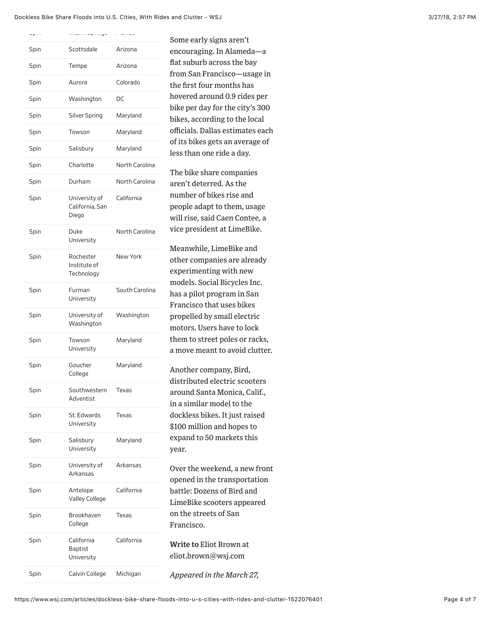| ، ،، م | .                                          | $\cdots$       |
|--------|--------------------------------------------|----------------|
| Spin   | Scottsdale                                 | Arizona        |
| Spin   | Tempe                                      | Arizona        |
| Spin   | Aurora                                     | Colorado       |
| Spin   | Washington                                 | DC             |
| Spin   | Silver Spring                              | Maryland       |
| Spin   | Towson                                     | Maryland       |
| Spin   | Salisbury                                  | Maryland       |
| Spin   | Charlotte                                  | North Carolina |
| Spin   | Durham                                     | North Carolina |
| Spin   | University of<br>California, San<br>Diego  | California     |
| Spin   | Duke<br>University                         | North Carolina |
| Spin   | Rochester<br>Institute of<br>Technology    | New York       |
| Spin   | Furman<br>University                       | South Carolina |
| Spin   | University of<br>Washington                | Washington     |
| Spin   | Towson<br>University                       | Maryland       |
| Spin   | Goucher<br>College                         | Maryland       |
| Spin   | Southwestern<br>Adventist                  | Texas          |
| Spin   | St. Edwards<br>University                  | Texas          |
| Spin   | Salisbury<br>University                    | Maryland       |
| Spin   | University of<br>Arkansas                  | Arkansas       |
| Spin   | Antelope<br>Valley College                 | California     |
| Spin   | Brookhaven<br>College                      | Texas          |
| Spin   | California<br><b>Baptist</b><br>University | California     |
| Spin   | Calvin College                             | Michigan       |

ne early signs aren't ouraging. In Alameda—a suburb across the bay m San Francisco—usage in first four months has rered around 0.9 rides per e per day for the city's 300 es, according to the local cials. Dallas estimates each ts bikes gets an average of s than one ride a day. e bike share companies

n't deterred. As the nber of bikes rise and pple adapt to them, usage l rise, said Caen Contee, a e president at LimeBike.

anwhile, LimeBike and er companies are already erimenting with new dels. Social Bicycles Inc. a pilot program in San Francisco that uses bikes propelled by small electric tors. Users have to lock m to street poles or racks, ove meant to avoid clutter.

other company, Bird, tributed electric scooters und Santa Monica, Calif., i similar model to the kless bikes. It just raised 0 million and hopes to and to 50 markets this  $\mathbf{r}$ .

er the weekend, a new front ened in the transportation tle: Dozens of Bird and neBike scooters appeared the streets of San ncisco.

ite to Eliot Brown at ot.brown@wsj.com

*Appeared in the March 27,*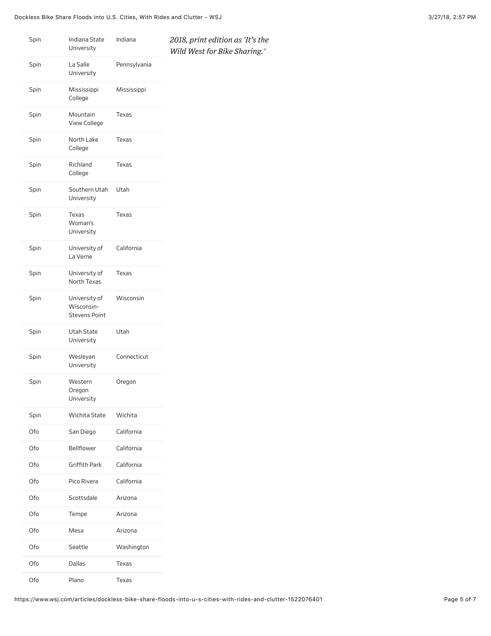| Spin | Indiana State<br>University                         | Indiana      | 2018, print edition as 'It's the<br>Wild West for Bike Sharing.' |
|------|-----------------------------------------------------|--------------|------------------------------------------------------------------|
| Spin | La Salle<br>University                              | Pennsylvania |                                                                  |
| Spin | Mississippi<br>College                              | Mississippi  |                                                                  |
| Spin | Mountain<br>View College                            | Texas        |                                                                  |
| Spin | North Lake<br>College                               | Texas        |                                                                  |
| Spin | Richland<br>College                                 | Texas        |                                                                  |
| Spin | Southern Utah<br>University                         | Utah         |                                                                  |
| Spin | Texas<br>Woman's<br>University                      | Texas        |                                                                  |
| Spin | University of<br>La Verne                           | California   |                                                                  |
| Spin | University of<br>North Texas                        | Texas        |                                                                  |
| Spin | University of<br>Wisconsin-<br><b>Stevens Point</b> | Wisconsin    |                                                                  |
| Spin | Utah State<br>University                            | Utah         |                                                                  |
| Spin | Wesleyan<br>University                              | Connecticut  |                                                                  |
| Spin | Western<br>Oregon<br>University                     | Oregon       |                                                                  |
| Spin | Wichita State                                       | Wichita      |                                                                  |
| Ofo  | San Diego                                           | California   |                                                                  |
| Ofo  | Bellflower                                          | California   |                                                                  |
| Ofo  | Griffith Park                                       | California   |                                                                  |
| Ofo  | Pico Rivera                                         | California   |                                                                  |
| Ofo  | Scottsdale                                          | Arizona      |                                                                  |
| Ofo  | Tempe                                               | Arizona      |                                                                  |
| Ofo  | Mesa                                                | Arizona      |                                                                  |
| Ofo  | Seattle                                             | Washington   |                                                                  |
| Ofo  | Dallas                                              | Texas        |                                                                  |
| Ofo  | Plano                                               | Texas        |                                                                  |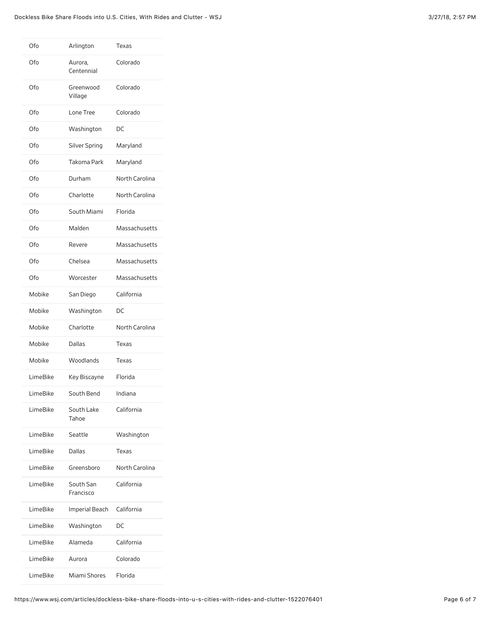| Ofo             | Arlington              | Texas          |
|-----------------|------------------------|----------------|
| Ofo             | Aurora,<br>Centennial  | Colorado       |
| Ofo             | Greenwood<br>Village   | Colorado       |
| Ofo             | Lone Tree              | Colorado       |
| Ofo             | Washington             | DC             |
| Ofo             | Silver Spring          | Maryland       |
| Ofo             | Takoma Park            | Maryland       |
| Ofo             | Durham                 | North Carolina |
| Ofo             | Charlotte              | North Carolina |
| Ofo             | South Miami            | Florida        |
| Ofo             | Malden                 | Massachusetts  |
| Ofo             | Revere                 | Massachusetts  |
| Ofo             | Chelsea                | Massachusetts  |
| Ofo             | Worcester              | Massachusetts  |
| Mobike          | San Diego              | California     |
| Mobike          | Washington             | DC             |
| Mobike          | Charlotte              | North Carolina |
| Mobike          | Dallas                 | Texas          |
| Mobike          | Woodlands              | Texas          |
| LimeBike        | Key Biscayne           | Florida        |
| LimeBike        | South Bend             | Indiana        |
| LimeBike        | South Lake<br>Tahoe    | California     |
| LimeBike        | Seattle                | Washington     |
| LimeBike        | Dallas                 | Texas          |
| LimeBike        | Greensboro             | North Carolina |
| LimeBike        | South San<br>Francisco | California     |
| LimeBike        | Imperial Beach         | California     |
| LimeBike        | Washington             | DC             |
| LimeBike        | Alameda                | California     |
| <b>LimeBike</b> | Aurora                 | Colorado       |
| LimeBike        | Miami Shores           | Florida        |